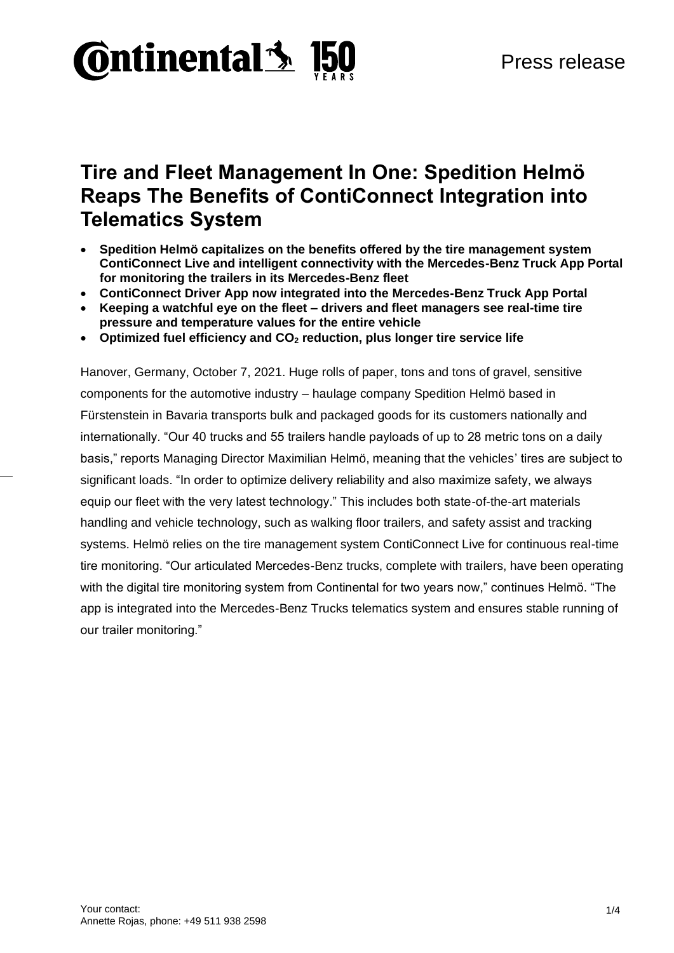

# **Tire and Fleet Management In One: Spedition Helmö Reaps The Benefits of ContiConnect Integration into Telematics System**

- **Spedition Helmö capitalizes on the benefits offered by the tire management system ContiConnect Live and intelligent connectivity with the Mercedes-Benz Truck App Portal for monitoring the trailers in its Mercedes-Benz fleet**
- **ContiConnect Driver App now integrated into the Mercedes-Benz Truck App Portal**
- **Keeping a watchful eye on the fleet – drivers and fleet managers see real-time tire pressure and temperature values for the entire vehicle**
- **Optimized fuel efficiency and CO<sup>2</sup> reduction, plus longer tire service life**

Hanover, Germany, October 7, 2021. Huge rolls of paper, tons and tons of gravel, sensitive components for the automotive industry – haulage company Spedition Helmö based in Fürstenstein in Bavaria transports bulk and packaged goods for its customers nationally and internationally. "Our 40 trucks and 55 trailers handle payloads of up to 28 metric tons on a daily basis," reports Managing Director Maximilian Helmö, meaning that the vehicles' tires are subject to significant loads. "In order to optimize delivery reliability and also maximize safety, we always equip our fleet with the very latest technology." This includes both state-of-the-art materials handling and vehicle technology, such as walking floor trailers, and safety assist and tracking systems. Helmö relies on the tire management system ContiConnect Live for continuous real-time tire monitoring. "Our articulated Mercedes-Benz trucks, complete with trailers, have been operating with the digital tire monitoring system from Continental for two years now," continues Helmö. "The app is integrated into the Mercedes-Benz Trucks telematics system and ensures stable running of our trailer monitoring."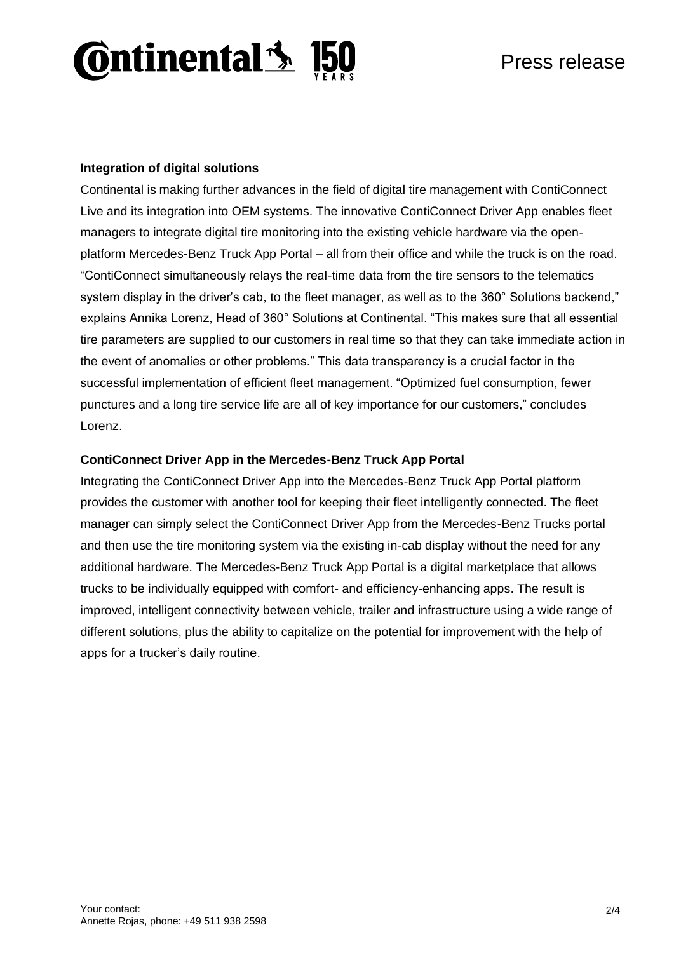

# **Integration of digital solutions**

Continental is making further advances in the field of digital tire management with ContiConnect Live and its integration into OEM systems. The innovative ContiConnect Driver App enables fleet managers to integrate digital tire monitoring into the existing vehicle hardware via the openplatform Mercedes-Benz Truck App Portal – all from their office and while the truck is on the road. "ContiConnect simultaneously relays the real-time data from the tire sensors to the telematics system display in the driver's cab, to the fleet manager, as well as to the 360° Solutions backend," explains Annika Lorenz, Head of 360° Solutions at Continental. "This makes sure that all essential tire parameters are supplied to our customers in real time so that they can take immediate action in the event of anomalies or other problems." This data transparency is a crucial factor in the successful implementation of efficient fleet management. "Optimized fuel consumption, fewer punctures and a long tire service life are all of key importance for our customers," concludes Lorenz.

## **ContiConnect Driver App in the Mercedes-Benz Truck App Portal**

Integrating the ContiConnect Driver App into the Mercedes-Benz Truck App Portal platform provides the customer with another tool for keeping their fleet intelligently connected. The fleet manager can simply select the ContiConnect Driver App from the Mercedes-Benz Trucks portal and then use the tire monitoring system via the existing in-cab display without the need for any additional hardware. The Mercedes-Benz Truck App Portal is a digital marketplace that allows trucks to be individually equipped with comfort- and efficiency-enhancing apps. The result is improved, intelligent connectivity between vehicle, trailer and infrastructure using a wide range of different solutions, plus the ability to capitalize on the potential for improvement with the help of apps for a trucker's daily routine.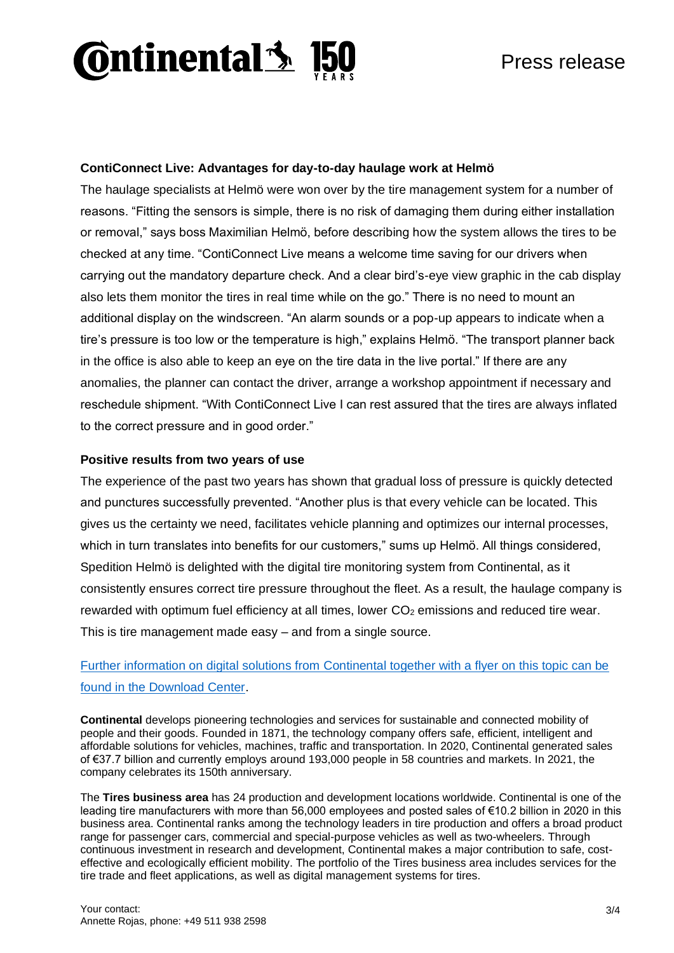

# **ContiConnect Live: Advantages for day-to-day haulage work at Helmö**

The haulage specialists at Helmö were won over by the tire management system for a number of reasons. "Fitting the sensors is simple, there is no risk of damaging them during either installation or removal," says boss Maximilian Helmö, before describing how the system allows the tires to be checked at any time. "ContiConnect Live means a welcome time saving for our drivers when carrying out the mandatory departure check. And a clear bird's-eye view graphic in the cab display also lets them monitor the tires in real time while on the go." There is no need to mount an additional display on the windscreen. "An alarm sounds or a pop-up appears to indicate when a tire's pressure is too low or the temperature is high," explains Helmö. "The transport planner back in the office is also able to keep an eye on the tire data in the live portal." If there are any anomalies, the planner can contact the driver, arrange a workshop appointment if necessary and reschedule shipment. "With ContiConnect Live I can rest assured that the tires are always inflated to the correct pressure and in good order."

#### **Positive results from two years of use**

The experience of the past two years has shown that gradual loss of pressure is quickly detected and punctures successfully prevented. "Another plus is that every vehicle can be located. This gives us the certainty we need, facilitates vehicle planning and optimizes our internal processes, which in turn translates into benefits for our customers," sums up Helmö. All things considered, Spedition Helmö is delighted with the digital tire monitoring system from Continental, as it consistently ensures correct tire pressure throughout the fleet. As a result, the haulage company is rewarded with optimum fuel efficiency at all times, lower  $CO<sub>2</sub>$  emissions and reduced tire wear. This is tire management made easy – and from a single source.

# Further information on digital solutions from [Continental together with a flyer on this topic can be](https://www.continental-tires.com/transport/fleetsolutions/conti360-fleet-services/digital-tire-monitoring)  [found in the Download Center.](https://www.continental-tires.com/transport/fleetsolutions/conti360-fleet-services/digital-tire-monitoring)

**Continental** develops pioneering technologies and services for sustainable and connected mobility of people and their goods. Founded in 1871, the technology company offers safe, efficient, intelligent and affordable solutions for vehicles, machines, traffic and transportation. In 2020, Continental generated sales of €37.7 billion and currently employs around 193,000 people in 58 countries and markets. In 2021, the company celebrates its 150th anniversary.

The **Tires business area** has 24 production and development locations worldwide. Continental is one of the leading tire manufacturers with more than 56,000 employees and posted sales of €10.2 billion in 2020 in this business area. Continental ranks among the technology leaders in tire production and offers a broad product range for passenger cars, commercial and special-purpose vehicles as well as two-wheelers. Through continuous investment in research and development, Continental makes a major contribution to safe, costeffective and ecologically efficient mobility. The portfolio of the Tires business area includes services for the tire trade and fleet applications, as well as digital management systems for tires.